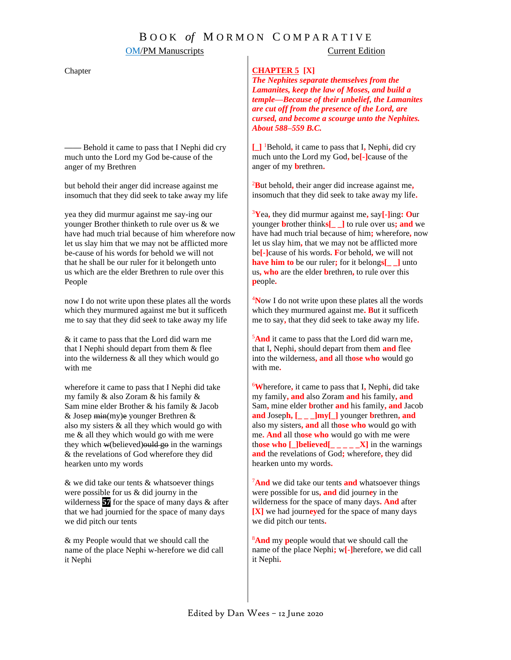## B O O K *of* M O R M O N C O M P A R A T I V E

### **OM/PM Manuscripts** Current Edition

### Chapter

**——** Behold it came to pass that I Nephi did cry much unto the Lord my God be-cause of the anger of my Brethren

but behold their anger did increase against me insomuch that they did seek to take away my life

yea they did murmur against me say-ing our younger Brother thinketh to rule over us & we have had much trial because of him wherefore now let us slay him that we may not be afflicted more be-cause of his words for behold we will not that he shall be our ruler for it belongeth unto us which are the elder Brethren to rule over this People

now I do not write upon these plates all the words which they murmured against me but it sufficeth me to say that they did see*k* to take away my life

& it came to pass that the Lord did warn me that I Nephi should depart from them & flee into the wilderness & all they which would go with me

wherefore it came to pass that I Nephi did take my family & also Zoram & his family & Sam mine elder Brother & his family & Jacob  $&$  Josep min(my)e younger Brethren  $&$ also my sisters & all they which would go with me & all they which would go with me were they which  $w(\text{believed})$  ould go in the warnings & the revelations of God wherefore they did hearken unto my words

& we did take our tents & whatsoever things were possible for us & did journy in the wilderness **57** for the space of many days & after that we had journied for the *s*pace of many days we did pitch our tents

& my People w*o*uld that we should call the name of the place Nephi w-herefore we did call it Nephi

### **CHAPTER 5 [X]**

*The Nephites separate themselves from the Lamanites, keep the law of Moses, and build a temple—Because of their unbelief, the Lamanites are cut off from the presence of the Lord, are cursed, and become a scourge unto the Nephites. About 588–559 B.C.*

**[\_]** <sup>1</sup>Behold**,** it came to pass that I**,** Nephi**,** did cry much unto the Lord my God**,** be**[-]**cause of the anger of my **b**rethren**.**

<sup>2</sup>**B**ut behold**,** their anger did increase against me**,** insomuch that they did seek to take away my life**.**

<sup>3</sup>**Y**ea**,** they did murmur against me**,** say**[-]**ing**: O**ur younger **b**rother think**s[\_ \_]** to rule over us**; and** we have had much trial because of him**;** wherefore**,** now let us slay him**,** that we may not be afflicted more be**[-]**cause of his words**. F**or behold**,** we will not **have him to** be our ruler**;** for it belong**s[\_ \_]** unto us**, who** are the elder **b**rethren**,** to rule over this **p**eople**.**

<sup>4</sup>**N**ow I do not write upon these plates all the words which they murmured against me**. B**ut it sufficeth me to say**,** that they did seek to take away my life**.**

<sup>5</sup>**And** it came to pass that the Lord did warn me**,** that I**,** Nephi**,** should depart from them **and** flee into the wilderness**, and** all th**ose who** would go with me**.**

<sup>6</sup>**W**herefore**,** it came to pass that I**,** Nephi**,** did take my family**, and** also Zoram **and** his family**, and**  Sam**,** mine elder **b**rother **and** his family**, and** Jacob **and** Josep**h, [\_ \_ \_]my[\_]** younger **b**rethren**, and** also my sisters**, and** all th**ose who** would go with me**. And** all th**ose who** would go with me were th**ose who [\_]believed[\_ \_ \_ \_ \_X]** in the warnings **and** the revelations of God**;** wherefore**,** they did hearken unto my words**.**

<sup>7</sup>**And** we did take our tents **and** whatsoever things were possible for us**, and** did journ**e**y in the wilderness for the space of many days**. And** after **[X]** we had journ**ey**ed for the space of many days we did pitch our tents**.**

<sup>8</sup>**And** my **p**eople would that we should call the name of the place Nephi**;** w**[-]**herefore**,** we did call it Nephi**.**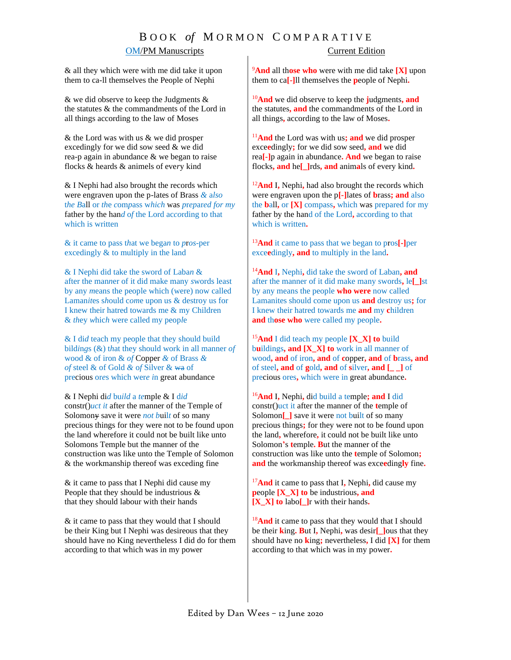# B O O K *of* M O R M O N C O M P A R A T I V E **OM/PM Manuscripts** Current Edition

& all they which were with me did take it upon them to ca-ll themselves the People of Nephi

& we did observe to keep the Judgments & the statutes & the commandments of the Lord in all things according to the law of Moses

& the Lord was with us & we did prosper excedingly for we did sow seed & we did rea-p again in abundance & we began to raise flocks & heards & animels of eve*r*y kind

& I Nephi had also brought the records which were engraven upon the p-lates of Brass *&* a*lso* t*he B*all or *th*e *c*om*p*ass w*hich* was *p*r*ep*ar*ed for my*  father by the han*d* o*f* the Lord ac*co*rding to that which is written

& it came to pass t*h*at we bega*n* to *p*r*os*-per excedingly & to multiply in the land

& I Nephi did take the sword of Laba*n* & after the man*n*er of it did make many *s*words least by any *m*eans the people which (were) now called Laman*it*es s*h*ould c*om*e upon us & destroy us for I knew their hatred towards me & my Children & *th*ey *w*hic*h* were called my peop*l*e

& I di*d* teach my people that they should build bild*i*n*g*s (&) t*h*at they should work in all manner *of* wood & of iron & *of* Copper *&* of Brass *& of* steel & of Gold *&* o*f* Silver & wa of precious or*e*s which wer*e i*n great abundance

& I Nephi di*d* bu*ild* a *te*mple & I d*id* constr()*uct it* after the manner of the Temple of Solomony save it were *not b*uil*t* of so many precious things for they were not to be found upon the land wherefore it could not be built like unto Solomons Temple but the manner of the construction was like unto the Temple of Solomon & the workmanship thereof was exceding fine

& it came to pass that I Nephi did cause my People that they should be industrious & that they should labour with their hands

& it came to pass that they would that I should be their King but I Nephi was desireous that they should have no King nevertheless I did do for them according to that which was in my power

<sup>9</sup>**And** all th**ose who** were with me did take **[X]** upon them to ca**[-]**ll themselves the **p**eople of Nephi**.**

<sup>10</sup>**And** we did observe to keep the **j**udgments**, and**  the statutes**, and** the commandments of the Lord in all things**,** according to the law of Moses**.**

<sup>11</sup>**And** the Lord was with us**; and** we did prosper exce**e**dingly**;** for we did sow seed**, and** we did rea**[-]**p again in abundance**. And** we began to raise flocks**, and** he**[\_]**rds**, and** anim**a**ls of every kind**.**

<sup>12</sup>**And** I**,** Nephi**,** had also brought the records which were engraven upon the p**[-]**lates of **b**rass**; and** also the **b**all**,** or **[X]** compass**,** which was prepared for my father by the hand of the Lord**,** according to that which is written**.**

<sup>13</sup>**And** it came to pass that we began to pros**[-]**per exce**e**dingly**, and** to multiply in the land**.**

<sup>14</sup>**And** I**,** Nephi**,** did take the sword of Laban**, and** after the manner of it did make many swords**,** le**[\_]**st by any means the people **who were** now called Lamanites should come upon us **and** destroy us**;** for I knew their hatred towards me **and** my **c**hildren **and** th**ose who** were called my people**.**

<sup>15</sup>**And** I did teach my people **[X\_X] to** build b**u**ildings**, and [X\_X] to** work in all manner of wood**, and** of iron**, and** of **c**opper**, and** of **b**rass**, and** of steel**, and** of **g**old**, and** of **s**ilver**, and [\_ \_]** of precious ores**,** which were in great abundance**.**

<sup>16</sup>**And** I**,** Nephi**,** did build a temple**; and** I did constr()uct it after the manner of the **t**emple of Solomon<sup>[ ]</sup> save it were not built of so many precious things**;** for they were not to be found upon the land**,** wherefore**,** it could not be built like unto Solomon**'**s **t**emple**. B**ut the manner of the construction was like unto the **t**emple of Solomon**; and** the workmanship thereof was exce**e**ding**ly** fine**.**

<sup>17</sup>**And** it came to pass that I**,** Nephi**,** did cause my **p**eople **[X\_X] to** be industrious**, and [X\_X] to** labo**[\_]**r with their hands**.**

<sup>18</sup>And it came to pass that they would that I should be their **k**ing**. B**ut I**,** Nephi**,** was desir**[\_]**ous that they should have no **k**ing**;** nevertheless**,** I did **[X]** for them according to that which was in my power**.**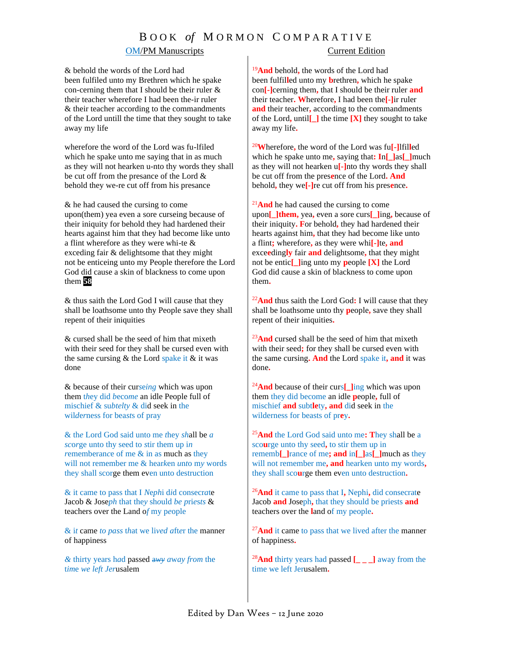## B O O K *of* M O R M O N C O M P A R A T I V E

## **OM/PM Manuscripts** Current Edition

& behold the words of the Lord had been fulfiled unto my Brethren which he spake con-cerning them that I should be their ruler & their teacher wherefore I had been the-ir ruler & their teacher according to the commandments of the Lord untill the time that they sought to take away my life

wherefore the word of the Lord was fu-lfiled which he spake unto me saying that in as much as they will not hearken u-nto thy words they shall be cut off from the presance of the Lord & behold they we-re cut off from his presance

& he had caused the cursing to come upon(them) yea even a sore curseing because of their iniquity for behold they had hardened their hearts against him that they had become like unto a flint wherefore as they were whi-te & exceding fair & delightsome that they might not be enticeing unto my People therefore the Lord God did cause a skin of blackness to come upon them **58**

& thus saith the Lord God I will cause that they shall be loathsome unto thy People save they shall repent of their iniquities

& cursed shall be the seed of him that mixeth with their s*e*ed for they shall be cursed even with the same cursing  $&$  the Lord spake it  $&$  it was done

& because of their cur*s*e*ing* which was upon them t*h*ey did *b*eco*me* an idle People full of mischief & su*btelty* & did seek in the wil*d*e*r*ness for bea*st*s of pray

& th*e* Lord God said unto me *t*hey *sh*all be *a sc*o*r*ge unto thy seed to *s*tir them up i*n rememberance* of me & in as much as they will not remember me & hear*k*en *u*n*t*o m*y* words they shall scorge them even unto destruction

& it came to pass that I *N*e*ph*i d*i*d consecr*a*te Jacob & Jose*ph* that the*y* sh*o*uld *be p*ri*e*s*ts* & teachers over the Land o*f* my p*e*ople

& i*t* came *to pass* t*h*at we li*ved a*ft*e*r the manner of happiness

*&* thirty years h*a*d passed a*wy a*w*ay from* the t*im*e *we left Jer*usalem

<sup>19</sup>**And** behold**,** the words of the Lord had been fulfil**l**ed unto my **b**rethren**,** which he spake con**[-]**cerning them**,** that I should be their ruler **and** their teacher**. W**herefore**,** I had been the**[-]**ir ruler **and** their teacher**,** according to the commandments of the Lord**,** until**[\_]** the time **[X]** they sought to take away my life**.**

<sup>20</sup>**W**herefore**,** the word of the Lord was fu**[-]**lfil**l**ed which he spake unto me**,** saying that**: I**n**[\_]**as**[\_]**much as they will not hearken u**[-]**nto thy words they shall be cut off from the pres**e**nce of the Lord**. And**  behold**,** they we**[-]**re cut off from his pres**e**nce**.**

<sup>21</sup>**And** he had caused the cursing to come upon**[\_]them,** yea**,** even a sore curs**[\_]**ing**,** because of their iniquity**. F**or behold**,** they had hardened their hearts against him**,** that they had become like unto a flint**;** wherefore**,** as they were whi**[-]**te**, and** exce**e**ding**ly** fair **and** delightsome**,** that they might not be entic**[\_]**ing unto my **p**eople **[X]** the Lord God did cause a skin of blackness to come upon them**.**

<sup>22</sup>**And** thus saith the Lord God**:** I will cause that they shall be loathsome unto thy **p**eople**,** save they shall repent of their iniquities**.**

<sup>23</sup>And cursed shall be the seed of him that mixeth with their seed**;** for they shall be cursed even with the same cursing**. And** the Lord spake it**, and** it was done**.**

<sup>24</sup>**And** because of their curs**[\_]**ing which was upon them they did become an idle **p**eople**,** full of mischief **and** subt**le**ty**, and** did seek in the wilderness for beasts of pr**e**y**.**

<sup>25</sup>**And** the Lord God said unto me**: T**hey shall be a sco**u**rge unto thy seed**,** to stir them up in rememb**[\_]**rance of me**; and** in**[\_]**as**[\_]**much as they will not remember me**, and** hearken unto my words**,** they shall sco**u**rge them even unto destruction**.**

<sup>26</sup>**And** it came to pass that I**,** Nephi**,** did consecrate Jacob **and** Joseph**,** that they should be priests **and** teachers over the **l**and of my people**.**

<sup>27</sup>And it came to pass that we lived after the manner of happiness**.**

<sup>28</sup>**And** thirty years had passed **[\_ \_ \_]** away from the time we left Jerusalem**.**